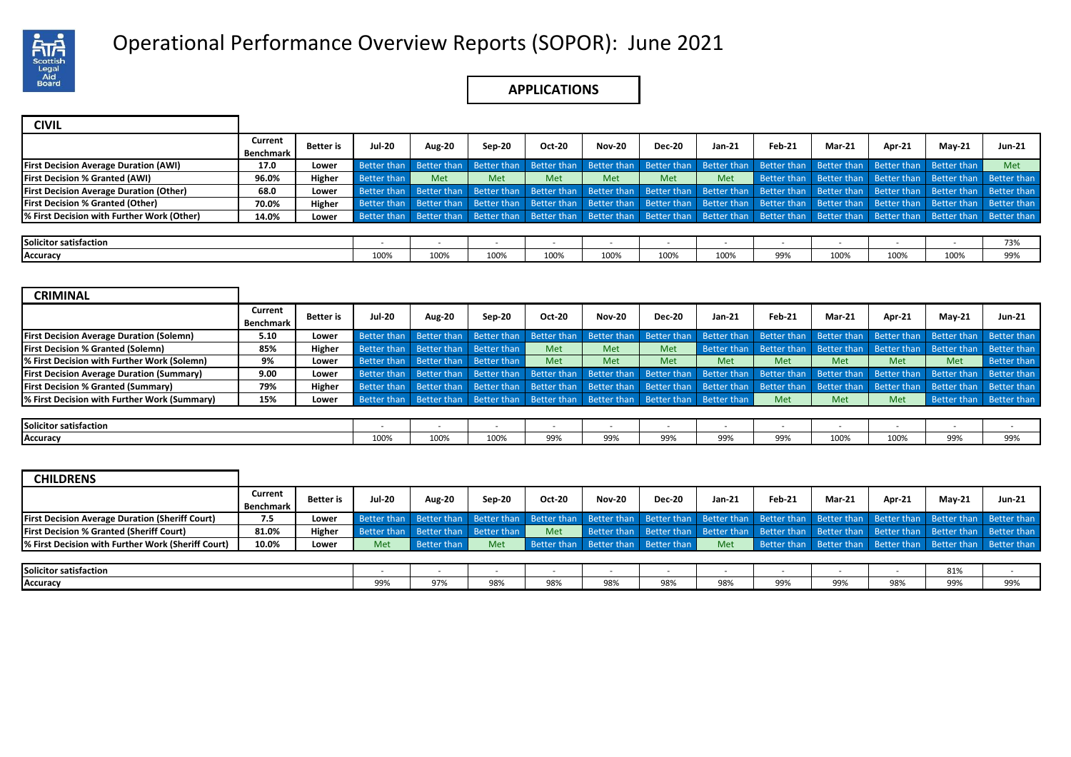

# Operational Performance Overview Reports (SOPOR): June 2021 .

## **APPLICATIONS**

| <b>CIVIL</b>                                   |                      |           |             |               |               |               |               |               |                         |                                                                                                                                                 |               |                         |                                                             |               |
|------------------------------------------------|----------------------|-----------|-------------|---------------|---------------|---------------|---------------|---------------|-------------------------|-------------------------------------------------------------------------------------------------------------------------------------------------|---------------|-------------------------|-------------------------------------------------------------|---------------|
|                                                | Current<br>Benchmark | Better is | Jul-20      | <b>Aug-20</b> | <b>Sep-20</b> | <b>Oct-20</b> | <b>Nov-20</b> | <b>Dec-20</b> | Jan-21                  | <b>Feb-21</b>                                                                                                                                   | <b>Mar-21</b> | Apr-21                  | $May-21$                                                    | <b>Jun-21</b> |
| <b>First Decision Average Duration (AWI)</b>   | 17.0                 | Lower     | Better than | Better than   | Better than   | Better than   | Better than   |               | Better than Better than | Better than                                                                                                                                     |               | Better than Better than | Better than                                                 | Met           |
| <b>First Decision % Granted (AWI)</b>          | 96.0%                | Higher    | Better than | Met           | <b>Met</b>    | Met           | Met           | <b>Met</b>    | Met                     |                                                                                                                                                 |               |                         | Better than Better than Better than Better than Better than |               |
| <b>First Decision Average Duration (Other)</b> | 68.0                 | Lower     | Better than | Better than   |               |               |               |               |                         | Better than Better than Better than Better than Better than Better than Better than Better than Better than Better than                         |               |                         |                                                             |               |
| <b>First Decision % Granted (Other)</b>        | 70.0%                | Higher    | Better than | Better than   |               |               |               |               |                         | Better than Better than Better than Better than Better than Better than Better than Better than Better than Better than                         |               |                         |                                                             |               |
| % First Decision with Further Work (Other)     | 14.0%                | Lower     |             |               |               |               |               |               |                         | Better than Better than Better than Better than Better than Better than Better than Better than Better than Better than Better than Better than |               |                         |                                                             |               |
|                                                |                      |           |             |               |               |               |               |               |                         |                                                                                                                                                 |               |                         |                                                             |               |
| Solicitor satisfaction                         |                      |           |             |               | . .           |               |               |               | $\sim$                  |                                                                                                                                                 | . .           |                         | . .                                                         | 73%           |
| Accuracy                                       |                      |           | 100%        | 100%          | 100%          | 100%          | 100%          | 100%          | 100%                    | 99%                                                                                                                                             | 100%          | 100%                    | 100%                                                        | 99%           |

| <b>CRIMINAL</b>                                  |                      |                  |                         |                         |                                                                                     |               |               |                                                                         |                         |             |                                     |             |             |                                     |
|--------------------------------------------------|----------------------|------------------|-------------------------|-------------------------|-------------------------------------------------------------------------------------|---------------|---------------|-------------------------------------------------------------------------|-------------------------|-------------|-------------------------------------|-------------|-------------|-------------------------------------|
|                                                  | Current<br>Benchmark | <b>Better</b> is | <b>Jul-20</b>           | <b>Aug-20</b>           | Sep-20                                                                              | <b>Oct-20</b> | <b>Nov-20</b> | <b>Dec-20</b>                                                           | Jan-21                  | Feb-21      | <b>Mar-21</b>                       | Apr-21      | $May-21$    | <b>Jun-21</b>                       |
| <b>First Decision Average Duration (Solemn)</b>  | 5.10                 | Lower            |                         | Better than Better than | Better than                                                                         |               |               | Better than Better than Better than                                     |                         |             | Better than Better than Better than |             |             | Better than Better than Better than |
| <b>First Decision % Granted (Solemn)</b>         | 85%                  | Higher           |                         | Better than Better than | Better than                                                                         | <b>Met</b>    | <b>Met</b>    | Met                                                                     | Better than Better than |             | Better than                         | Better than | Better than | Better than                         |
| % First Decision with Further Work (Solemn)      | 9%                   | Lower            | Better than Better than |                         | Better than                                                                         | <b>Met</b>    | Met           | Met                                                                     | Met                     | Met         | Met                                 | Met         | <b>Met</b>  | Better than                         |
| <b>First Decision Average Duration (Summary)</b> | 9.00                 | Lower            |                         | Better than Better than | Better than                                                                         |               |               | Better than Better than Better than                                     | Better than             | Better than | Better than                         | Better than | Better than | Better than                         |
| <b>First Decision % Granted (Summary)</b>        | 79%                  | Higher           |                         | Better than Better than | Better than                                                                         |               |               | Better than Better than Better than Better than Better than Better than |                         |             |                                     | Better than |             | Better than Better than             |
| % First Decision with Further Work (Summary)     | 15%                  | Lower            |                         |                         | Better than Better than Better than Better than Better than Better than Better than |               |               |                                                                         |                         | Met         | Met                                 | <b>Met</b>  |             | Better than Better than             |
|                                                  |                      |                  |                         |                         |                                                                                     |               |               |                                                                         |                         |             |                                     |             |             |                                     |
| Solicitor satisfaction                           |                      |                  |                         |                         |                                                                                     |               |               |                                                                         |                         |             |                                     |             |             |                                     |

**Accuracy** 100% 100% 99% 99% 99% 90% 99% 99% 99%

| <b>CHILDRENS</b>                                       |                             |                  |        |                                     |            |            |                                     |               |        |                                                                                                             |               |               |               |               |
|--------------------------------------------------------|-----------------------------|------------------|--------|-------------------------------------|------------|------------|-------------------------------------|---------------|--------|-------------------------------------------------------------------------------------------------------------|---------------|---------------|---------------|---------------|
|                                                        | Current<br><b>Benchmark</b> | <b>Better</b> is | Jul-20 | <b>Aug-20</b>                       | Sep-20     | Oct-20     | <b>Nov-20</b>                       | <b>Dec-20</b> | Jan-21 | <b>Feb-21</b>                                                                                               | <b>Mar-21</b> | <b>Apr-21</b> | <b>Mav-21</b> | <b>Jun-21</b> |
| <b>First Decision Average Duration (Sheriff Court)</b> | 7.5                         | Lower            |        | Better than Better than Better than |            |            |                                     |               |        | Better than Better than Better than Better than Better than Better than Better than Better than Better than |               |               |               |               |
| <b>First Decision % Granted (Sheriff Court)</b>        | 81.0%                       | Higher           |        | Better than Better than Better than |            | <b>Met</b> |                                     |               |        | Better than Better than Better than Better than Better than Better than Better than Better than             |               |               |               |               |
| % First Decision with Further Work (Sheriff Court)     | 10.0%                       | Lower            | Met    | $\blacksquare$ Better than          | <b>Met</b> |            | Better than Better than Better than |               | Met    | Better than Better than Better than Better than Better than                                                 |               |               |               |               |
|                                                        |                             |                  |        |                                     |            |            |                                     |               |        |                                                                                                             |               |               |               |               |
| <b>Solicitor satisfaction</b>                          |                             |                  |        |                                     |            |            |                                     |               |        |                                                                                                             |               |               | 81%           |               |

**Accuracy** 99% 98% 98% 98% 98% 99% 98% 999% 99% 99%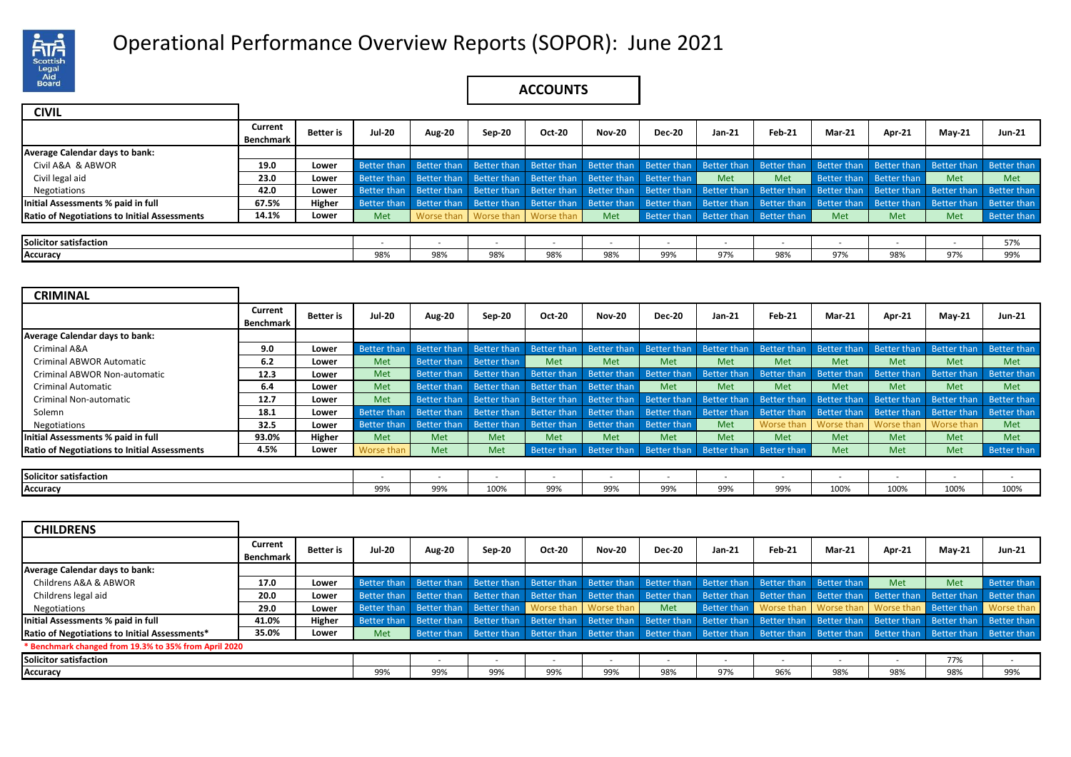

# Operational Performance Overview Reports (SOPOR): June 2021 .

## **ACCOUNTS**

| <b>CIVIL</b>                                        |                      |                  |                    |                         |                                      |        |               |                                                                         |        |               |               |                         |                                                                                                             |             |
|-----------------------------------------------------|----------------------|------------------|--------------------|-------------------------|--------------------------------------|--------|---------------|-------------------------------------------------------------------------|--------|---------------|---------------|-------------------------|-------------------------------------------------------------------------------------------------------------|-------------|
|                                                     | Current<br>Benchmark | <b>Better</b> is | <b>Jul-20</b>      | <b>Aug-20</b>           | Sep-20                               | Oct-20 | <b>Nov-20</b> | <b>Dec-20</b>                                                           | Jan-21 | <b>Feb-21</b> | <b>Mar-21</b> | <b>Apr-21</b>           | $M$ ay-21                                                                                                   | Jun-21      |
| Average Calendar days to bank:                      |                      |                  |                    |                         |                                      |        |               |                                                                         |        |               |               |                         |                                                                                                             |             |
| Civil A&A & ABWOR                                   | 19.0                 | Lower            |                    | Better than Better than |                                      |        |               | Better than Better than Better than Better than Better than             |        | Better than   |               | Better than Better than | Better than                                                                                                 | Better than |
| Civil legal aid                                     | 23.0                 | Lower            | Better than        | <b>Better than</b>      |                                      |        |               | Better than Better than Better than Better than                         | Met    | Met           |               | Better than Better than | Met                                                                                                         | Met         |
| Negotiations                                        | 42.0                 | Lower            | <b>Better than</b> | Better than             |                                      |        |               | Better than Better than Better than Better than Better than Better than |        |               |               |                         | Better than Better than Better than                                                                         | Better than |
| Initial Assessments % paid in full                  | 67.5%                | Higher           | Better than        | Better than             |                                      |        |               |                                                                         |        |               |               |                         | Better than Better than Better than Better than Better than Better than Better than Better than Better than | Better than |
| <b>Ratio of Negotiations to Initial Assessments</b> | 14.1%                | Lower            | Met                |                         | Worse than   Worse than   Worse than |        | <b>Met</b>    | Better than Better than Better than                                     |        |               | <b>Met</b>    | Met                     | Met                                                                                                         | Better than |
|                                                     |                      |                  |                    |                         |                                      |        |               |                                                                         |        |               |               |                         |                                                                                                             |             |
| <b>Solicitor satisfaction</b>                       |                      |                  | $\,$               | . .                     |                                      |        |               |                                                                         |        |               |               | . .                     | . .                                                                                                         | 57%         |
| Accuracy                                            |                      |                  | 98%                | 98%                     | 98%                                  | 98%    | 98%           | 99%                                                                     | 97%    | 98%           | 97%           | 98%                     | 97%                                                                                                         | 99%         |

| <b>CRIMINAL</b>                                     |           |                  |                    |               |             |               |                         |               |                          |             |               |             |               |                    |
|-----------------------------------------------------|-----------|------------------|--------------------|---------------|-------------|---------------|-------------------------|---------------|--------------------------|-------------|---------------|-------------|---------------|--------------------|
|                                                     |           |                  |                    |               |             |               |                         |               |                          |             |               |             |               |                    |
|                                                     | Current   | <b>Better</b> is | Jul-20             | <b>Aug-20</b> | Sep-20      | <b>Oct-20</b> | <b>Nov-20</b>           | <b>Dec-20</b> | Jan 21                   | Feb-21      | <b>Mar-21</b> | Apr-21      | <b>May-21</b> | <b>Jun-21</b>      |
|                                                     | Benchmark |                  |                    |               |             |               |                         |               |                          |             |               |             |               |                    |
| <b>Average Calendar days to bank:</b>               |           |                  |                    |               |             |               |                         |               |                          |             |               |             |               |                    |
| Criminal A&A                                        | 9.0       | Lower            | <b>Better than</b> | Better than   | Better than | Better than   | Better than             | Better than   | Better than              | Better than | Better than   | Better than | Better than   | <b>Better than</b> |
| <b>Criminal ABWOR Automatic</b>                     | 6.2       | Lower            | Met                | Better than   | Better than | <b>Met</b>    | <b>Met</b>              | Met           | <b>Met</b>               | Met         | Met           | <b>Met</b>  | Met           | Met                |
| Criminal ABWOR Non-automatic                        | 12.3      | Lower            | Met                | Better than   | Better than | Better than   | Better than             | Better than   | <b>Better than</b>       | Better than | Better than   | Better than | Better than   | Better than        |
| <b>Criminal Automatic</b>                           | 6.4       | Lower            | Met                | Better than   | Better than | Better than   | Better than             | Met           | Met                      | Met         | Met           | Met         | Met           | Met                |
| Criminal Non-automatic                              | 12.7      | Lower            | Met                | Better than   | Better than | Better than   | Better than             | Better than   | Better than              | Better than | Better than   | Better than | Better than   | Better than        |
| Solemn                                              | 18.1      | Lower            | <b>Better than</b> | Better than   | Better than | Better than   | Better than             | Better than   | Better than              | Better than | Better than   | Better than | Better than   | Better than        |
| Negotiations                                        | 32.5      | Lower            | Better than        | Better than   | Better than | Better than   | Better than             | Better than   | <b>Met</b>               | Worse than  | Worse than    | Worse than  | Worse than    | Met                |
| Initial Assessments % paid in full                  | 93.0%     | Higher           | Met                | Met           | Met         | <b>Met</b>    | <b>Met</b>              | Met           | <b>Met</b>               | Met         | Met           | <b>Met</b>  | Met           | <b>Met</b>         |
| <b>Ratio of Negotiations to Initial Assessments</b> | 4.5%      | Lower            | Worse than         | Met           | Met         | Better than   | Better than Better than |               | Better than              | Better than | Met           | <b>Met</b>  | Met           | Better than        |
|                                                     |           |                  |                    |               |             |               |                         |               |                          |             |               |             |               |                    |
| Solicitor satisfaction                              |           |                  |                    | $\sim$        | . .         | . .           | $\sim$                  |               | $\overline{\phantom{a}}$ |             | $\sim$        | $\sim$      | $\sim$        | $\sim$             |

**Accuracy** 99% | 99% | 99% | 99% | 99% | 99% | 99% | 100% | 100% | 100% | 100% | 100%

| <b>CHILDRENS</b>                                      |                      |                  |             |                                                                                                 |                                          |        |               |                                                                                                 |                         |                                   |               |                                     |             |             |
|-------------------------------------------------------|----------------------|------------------|-------------|-------------------------------------------------------------------------------------------------|------------------------------------------|--------|---------------|-------------------------------------------------------------------------------------------------|-------------------------|-----------------------------------|---------------|-------------------------------------|-------------|-------------|
|                                                       | Current<br>Benchmark | <b>Better</b> is | Jul-20      | <b>Aug-20</b>                                                                                   | Sep-20                                   | Oct-20 | <b>Nov-20</b> | <b>Dec-20</b>                                                                                   | Jan-21                  | Feb-21                            | <b>Mar-21</b> | Apr-21                              | $May-21$    | Jun-21      |
| Average Calendar days to bank:                        |                      |                  |             |                                                                                                 |                                          |        |               |                                                                                                 |                         |                                   |               |                                     |             |             |
| Childrens A&A & ABWOR                                 | 17.0                 | Lower            | Better than | Better than Better than Better than Better than Better than Better than Better than Better than |                                          |        |               |                                                                                                 |                         |                                   |               | Met                                 | <b>Met</b>  | Better than |
| Childrens legal aid                                   | 20.0                 | Lower            | Better than | Better than                                                                                     | Better than                              |        |               | Better than Better than Better than                                                             | Better than Better than |                                   | Better than   | Better than                         | Better than | Better than |
| Negotiations                                          | 29.0                 | Lower            | Better than | Better than                                                                                     | <b>Better than</b> Worse than Worse than |        |               | <b>Met</b>                                                                                      |                         | Better than Worse than Worse than |               | Worse than Better than              |             | Worse than  |
| Initial Assessments % paid in full                    | 41.0%                | Higher           | Better than |                                                                                                 |                                          |        |               | Better than Better than Better than Better than Better than Better than Better than Better than |                         |                                   |               | Better than Better than             |             | Better than |
| Ratio of Negotiations to Initial Assessments*         | 35.0%                | Lower            | Met         | Better than Better than Better than Better than Better than Better than Better than Better than |                                          |        |               |                                                                                                 |                         |                                   |               | Better than Better than Better than |             |             |
| * Benchmark changed from 19.3% to 35% from April 2020 |                      |                  |             |                                                                                                 |                                          |        |               |                                                                                                 |                         |                                   |               |                                     |             |             |
| Solicitor satisfaction                                |                      |                  |             |                                                                                                 | ٠.                                       |        |               |                                                                                                 |                         |                                   |               |                                     | 77%         | $\sim$      |
| Accuracy                                              |                      |                  | 99%         | 99%                                                                                             | 99%                                      | 99%    | 99%           | 98%                                                                                             | 97%                     | 96%                               | 98%           | 98%                                 | 98%         | 99%         |